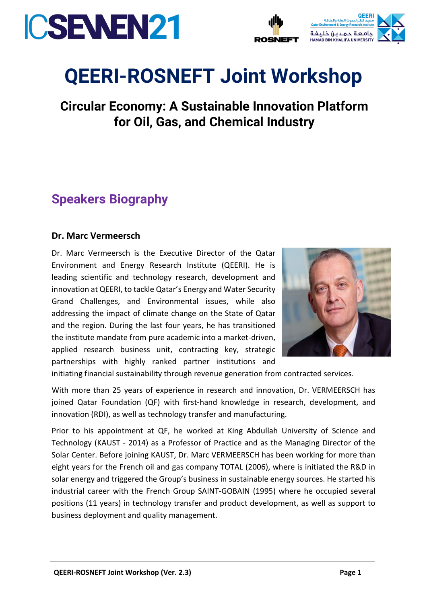



# **QEERI-ROSNEFT Joint Workshop**

**Circular Economy: A Sustainable Innovation Platform for Oil, Gas, and Chemical Industry**

## **Speakers Biography**

#### **Dr. Marc Vermeersch**

Dr. Marc Vermeersch is the Executive Director of the Qatar Environment and Energy Research Institute (QEERI). He is leading scientific and technology research, development and innovation at QEERI, to tackle Qatar's Energy and Water Security Grand Challenges, and Environmental issues, while also addressing the impact of climate change on the State of Qatar and the region. During the last four years, he has transitioned the institute mandate from pure academic into a market-driven, applied research business unit, contracting key, strategic partnerships with highly ranked partner institutions and



initiating financial sustainability through revenue generation from contracted services.

With more than 25 years of experience in research and innovation, Dr. VERMEERSCH has joined Qatar Foundation (QF) with first-hand knowledge in research, development, and innovation (RDI), as well as technology transfer and manufacturing.

Prior to his appointment at QF, he worked at King Abdullah University of Science and Technology (KAUST - 2014) as a Professor of Practice and as the Managing Director of the Solar Center. Before joining KAUST, Dr. Marc VERMEERSCH has been working for more than eight years for the French oil and gas company TOTAL (2006), where is initiated the R&D in solar energy and triggered the Group's business in sustainable energy sources. He started his industrial career with the French Group SAINT-GOBAIN (1995) where he occupied several positions (11 years) in technology transfer and product development, as well as support to business deployment and quality management.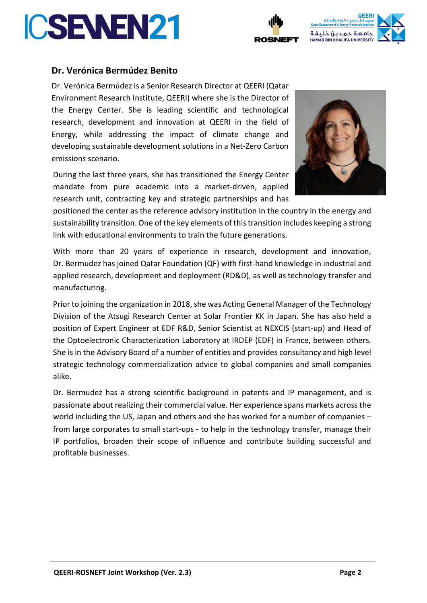

**QEERI-ROSNEFT Joint Workshop (Ver. 2.3) Page 2**

#### **Dr. Verónica Bermúdez Benito**

Dr. Verónica Bermúdez is a Senior Research Director at QEERI (Qatar Environment Research Institute, QEERI) where she is the Director of the Energy Center. She is leading scientific and technological research, development and innovation at QEERI in the field of Energy, while addressing the impact of climate change and developing sustainable development solutions in a Net-Zero Carbon emissions scenario.

During the last three years, she has transitioned the Energy Center mandate from pure academic into a market-driven, applied research unit, contracting key and strategic partnerships and has

positioned the center as the reference advisory institution in the country in the energy and sustainability transition. One of the key elements of this transition includes keeping a strong link with educational environments to train the future generations.

With more than 20 years of experience in research, development and innovation, Dr. Bermudez has joined Qatar Foundation (QF) with first-hand knowledge in industrial and applied research, development and deployment (RD&D), as well as technology transfer and manufacturing.

Prior to joining the organization in 2018, she was Acting General Manager of the Technology Division of the Atsugi Research Center at Solar Frontier KK in Japan. She has also held a position of Expert Engineer at EDF R&D, Senior Scientist at NEXCIS (start-up) and Head of the Optoelectronic Characterization Laboratory at IRDEP (EDF) in France, between others. She is in the Advisory Board of a number of entities and provides consultancy and high level strategic technology commercialization advice to global companies and small companies alike.

Dr. Bermudez has a strong scientific background in patents and IP management, and is passionate about realizing their commercial value. Her experience spans markets across the world including the US, Japan and others and she has worked for a number of companies – from large corporates to small start-ups - to help in the technology transfer, manage their IP portfolios, broaden their scope of influence and contribute building successful and profitable businesses.



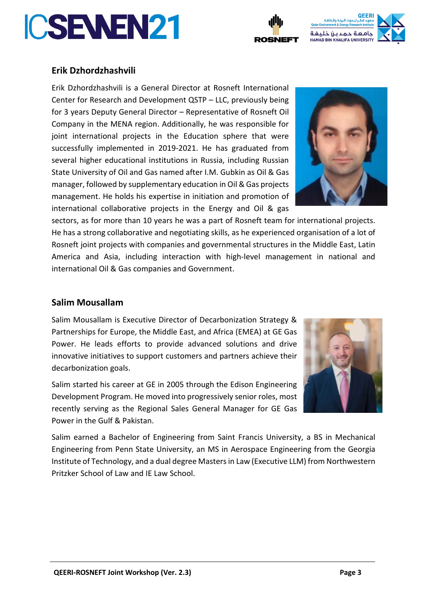

Salim started his career at GE in 2005 through the Edison Engineering Power in the Gulf & Pakistan.

Salim earned a Bachelor of Engineering from Saint Francis University, a BS in Mechanical Engineering from Penn State University, an MS in Aerospace Engineering from the Georgia Institute of Technology, and a dual degree Masters in Law (Executive LLM) from Northwestern Pritzker School of Law and IE Law School.

#### **Erik Dzhordzhashvili**

**ICSENEN21** 

Erik Dzhordzhashvili is a General Director at Rosneft International Center for Research and Development QSTP – LLC, previously being for 3 years Deputy General Director – Representative of Rosneft Oil Company in the MENA region. Additionally, he was responsible for joint international projects in the Education sphere that were successfully implemented in 2019-2021. He has graduated from several higher educational institutions in Russia, including Russian State University of Oil and Gas named after I.M. Gubkin as Oil & Gas manager, followed by supplementary education in Oil & Gas projects management. He holds his expertise in initiation and promotion of international collaborative projects in the Energy and Oil & gas

sectors, as for more than 10 years he was a part of Rosneft team for international projects. He has a strong collaborative and negotiating skills, as he experienced organisation of a lot of Rosneft joint projects with companies and governmental structures in the Middle East, Latin America and Asia, including interaction with high-level management in national and international Oil & Gas companies and Government.

### **Salim Mousallam**

Salim Mousallam is Executive Director of Decarbonization Strategy & Partnerships for Europe, the Middle East, and Africa (EMEA) at GE Gas Power. He leads efforts to provide advanced solutions and drive innovative initiatives to support customers and partners achieve their decarbonization goals.

Development Program. He moved into progressively senior roles, most recently serving as the Regional Sales General Manager for GE Gas





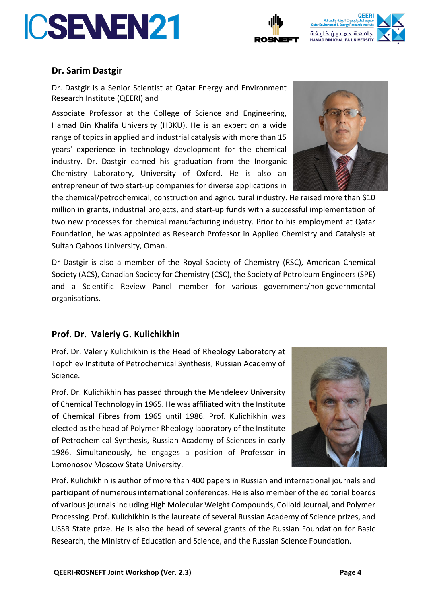





#### **Dr. Sarim Dastgir**

Dr. Dastgir is a Senior Scientist at Qatar Energy and Environment Research Institute (QEERI) and

Associate Professor at the College of Science and Engineering, Hamad Bin Khalifa University (HBKU). He is an expert on a wide range of topics in applied and industrial catalysis with more than 15 years' experience in technology development for the chemical industry. Dr. Dastgir earned his graduation from the Inorganic Chemistry Laboratory, University of Oxford. He is also an entrepreneur of two start-up companies for diverse applications in

the chemical/petrochemical, construction and agricultural industry. He raised more than \$10 million in grants, industrial projects, and start-up funds with a successful implementation of two new processes for chemical manufacturing industry. Prior to his employment at Qatar Foundation, he was appointed as Research Professor in Applied Chemistry and Catalysis at Sultan Qaboos University, Oman.

Dr Dastgir is also a member of the Royal Society of Chemistry (RSC), American Chemical Society (ACS), Canadian Society for Chemistry (CSC), the Society of Petroleum Engineers (SPE) and a Scientific Review Panel member for various government/non-governmental organisations.

#### **Prof. Dr. Valeriy G. Kulichikhin**

Prof. Dr. Valeriy Kulichikhin is the Head of Rheology Laboratory at Topchiev Institute of Petrochemical Synthesis, Russian Academy of Science.

Prof. Dr. Kulichikhin has passed through the Mendeleev University of Chemical Technology in 1965. He was affiliated with the Institute of Chemical Fibres from 1965 until 1986. Prof. Kulichikhin was elected as the head of Polymer Rheology laboratory of the Institute of Petrochemical Synthesis, Russian Academy of Sciences in early 1986. Simultaneously, he engages a position of Professor in Lomonosov Moscow State University.



Prof. Kulichikhin is author of more than 400 papers in Russian and international journals and participant of numerous international conferences. He is also member of the editorial boards of various journals including High Molecular Weight Compounds, Colloid Journal, and Polymer Processing. Prof. Kulichikhin is the laureate of several Russian Academy of Science prizes, and USSR State prize. He is also the head of several grants of the Russian Foundation for Basic Research, the Ministry of Education and Science, and the Russian Science Foundation.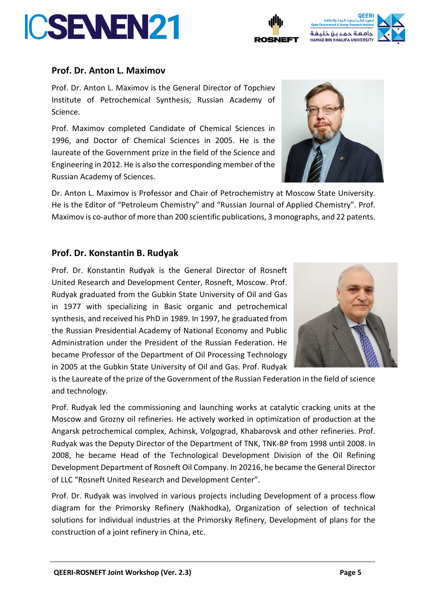### **Prof. Dr. Anton L. Maximov**

Prof. Dr. Anton L. Maximov is the General Director of Topchiev Institute of Petrochemical Synthesis, Russian Academy of Science.

Prof. Maximov completed Candidate of Chemical Sciences in 1996, and Doctor of Chemical Sciences in 2005. He is the laureate of the Government prize in the field of the Science and Engineering in 2012. He is also the corresponding member of the Russian Academy of Sciences.

Dr. Anton L. Maximov is Professor and Chair of Petrochemistry at Moscow State University. He is the Editor of "Petroleum Chemistry" and "Russian Journal of Applied Chemistry". Prof. Maximov is co-author of more than 200 scientific publications, 3 monographs, and 22 patents.

### **Prof. Dr. Konstantin B. Rudyak**

Prof. Dr. Konstantin Rudyak is the General Director of Rosneft United Research and Development Center, Rosneft, Moscow. Prof. Rudyak graduated from the Gubkin State University of Oil and Gas in 1977 with specializing in Basic organic and petrochemical synthesis, and received his PhD in 1989. In 1997, he graduated from the Russian Presidential Academy of National Economy and Public Administration under the President of the Russian Federation. He became Professor of the Department of Oil Processing Technology in 2005 at the Gubkin State University of Oil and Gas. Prof. Rudyak

is the Laureate of the prize of the Government of the Russian Federation in the field of science and technology.

Prof. Rudyak led the commissioning and launching works at catalytic cracking units at the Moscow and Grozny oil refineries. He actively worked in optimization of production at the Angarsk petrochemical complex, Achinsk, Volgograd, Khabarovsk and other refineries. Prof. Rudyak was the Deputy Director of the Department of TNK, TNK-BP from 1998 until 2008. In 2008, he became Head of the Technological Development Division of the Oil Refining Development Department of Rosneft Oil Company. In 20216, he became the General Director of LLC "Rosneft United Research and Development Center".

Prof. Dr. Rudyak was involved in various projects including Development of a process flow diagram for the Primorsky Refinery (Nakhodka), Organization of selection of technical solutions for individual industries at the Primorsky Refinery, Development of plans for the construction of a joint refinery in China, etc.







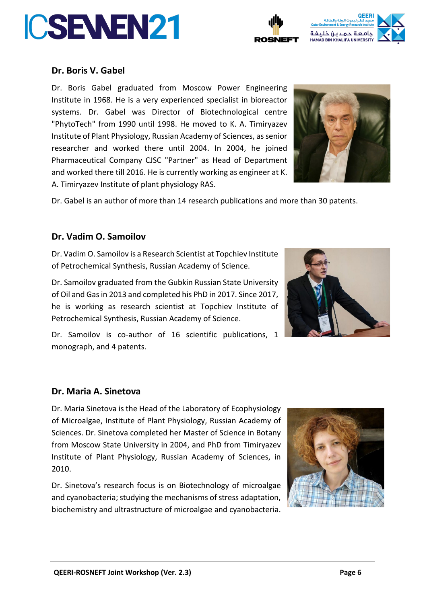



#### **Dr. Boris V. Gabel**

Dr. Boris Gabel graduated from Moscow Power Engineering Institute in 1968. He is a very experienced specialist in bioreactor systems. Dr. Gabel was Director of Biotechnological centre "PhytoTech" from 1990 until 1998. He moved to K. A. Timiryazev Institute of Plant Physiology, Russian Academy of Sciences, as senior researcher and worked there until 2004. In 2004, he joined Pharmaceutical Company CJSC "Partner" as Head of Department and worked there till 2016. He is currently working as engineer at K. A. Timiryazev Institute of plant physiology RAS.



Dr. Gabel is an author of more than 14 research publications and more than 30 patents.

#### **Dr. Vadim O. Samoilov**

Dr. Vadim O. Samoilov is a Research Scientist at Topchiev Institute of Petrochemical Synthesis, Russian Academy of Science.

Dr. Samoilov graduated from the Gubkin Russian State University of Oil and Gas in 2013 and completed his PhD in 2017. Since 2017, he is working as research scientist at Topchiev Institute of Petrochemical Synthesis, Russian Academy of Science.



Dr. Samoilov is co-author of 16 scientific publications, 1 monograph, and 4 patents.

#### **Dr. Maria A. Sinetova**

Dr. Maria Sinetova is the Head of the Laboratory of Ecophysiology of Microalgae, Institute of Plant Physiology, Russian Academy of Sciences. Dr. Sinetova completed her Master of Science in Botany from Moscow State University in 2004, and PhD from Timiryazev Institute of Plant Physiology, Russian Academy of Sciences, in 2010.

Dr. Sinetova's research focus is on Biotechnology of microalgae and cyanobacteria; studying the mechanisms of stress adaptation, biochemistry and ultrastructure of microalgae and cyanobacteria.

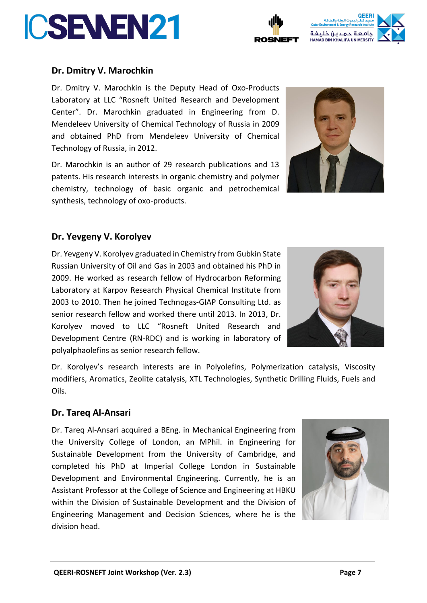



Dr. Dmitry V. Marochkin is the Deputy Head of Oxo-Products Laboratory at LLC "Rosneft United Research and Development Center". Dr. Marochkin graduated in Engineering from D. Mendeleev University of Chemical Technology of Russia in 2009 and obtained PhD from Mendeleev University of Chemical Technology of Russia, in 2012.

Dr. Marochkin is an author of 29 research publications and 13 patents. His research interests in organic chemistry and polymer chemistry, technology of basic organic and petrochemical synthesis, technology of oxo-products.

#### **Dr. Yevgeny V. Korolyev**

Dr. Yevgeny V. Korolyev graduated in Chemistry from Gubkin State Russian University of Oil and Gas in 2003 and obtained his PhD in 2009. He worked as research fellow of Hydrocarbon Reforming Laboratory at Karpov Research Physical Chemical Institute from 2003 to 2010. Then he joined Technogas-GIAP Consulting Ltd. as senior research fellow and worked there until 2013. In 2013, Dr. Korolyev moved to LLC "Rosneft United Research and Development Centre (RN-RDC) and is working in laboratory of polyalphaolefins as senior research fellow.

Dr. Korolyev's research interests are in Polyolefins, Polymerization catalysis, Viscosity modifiers, Aromatics, Zeolite catalysis, XTL Technologies, Synthetic Drilling Fluids, Fuels and Oils.

#### **Dr. Tareq Al-Ansari**

Dr. Tareq Al-Ansari acquired a BEng. in Mechanical Engineering from the University College of London, an MPhil. in Engineering for Sustainable Development from the University of Cambridge, and completed his PhD at Imperial College London in Sustainable Development and Environmental Engineering. Currently, he is an Assistant Professor at the College of Science and Engineering at HBKU within the Division of Sustainable Development and the Division of Engineering Management and Decision Sciences, where he is the division head.







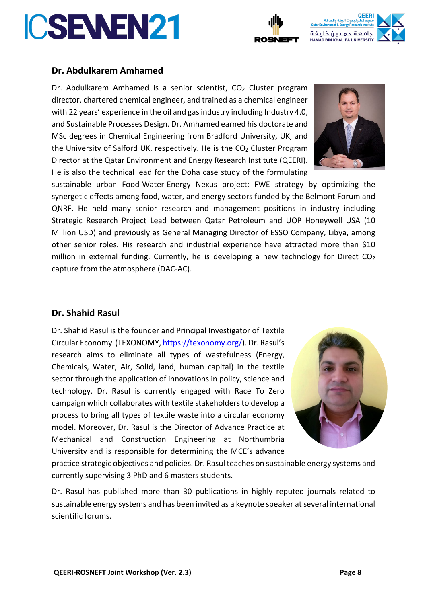



#### **Dr. Abdulkarem Amhamed**

Dr. Abdulkarem Amhamed is a senior scientist, CO<sub>2</sub> Cluster program director, chartered chemical engineer, and trained as a chemical engineer with 22 years' experience in the oil and gas industry including Industry 4.0, and Sustainable Processes Design. Dr. Amhamed earned his doctorate and MSc degrees in Chemical Engineering from Bradford University, UK, and the University of Salford UK, respectively. He is the  $CO<sub>2</sub>$  Cluster Program Director at the Qatar Environment and Energy Research Institute (QEERI). He is also the technical lead for the Doha case study of the formulating



sustainable urban Food-Water-Energy Nexus project; FWE strategy by optimizing the synergetic effects among food, water, and energy sectors funded by the Belmont Forum and QNRF. He held many senior research and management positions in industry including Strategic Research Project Lead between Qatar Petroleum and UOP Honeywell USA (10 Million USD) and previously as General Managing Director of ESSO Company, Libya, among other senior roles. His research and industrial experience have attracted more than \$10 million in external funding. Currently, he is developing a new technology for Direct CO<sub>2</sub> capture from the atmosphere (DAC-AC).

#### **Dr. Shahid Rasul**

Dr. Shahid Rasul is the founder and Principal Investigator of Textile Circular Economy (TEXONOMY, [https://texonomy.org/\)](https://texonomy.org/). Dr. Rasul's research aims to eliminate all types of wastefulness (Energy, Chemicals, Water, Air, Solid, land, human capital) in the textile sector through the application of innovations in policy, science and technology. Dr. Rasul is currently engaged with Race To Zero campaign which collaborates with textile stakeholders to develop a process to bring all types of textile waste into a circular economy model. Moreover, Dr. Rasul is the Director of Advance Practice at Mechanical and Construction Engineering at Northumbria University and is responsible for determining the MCE's advance



practice strategic objectives and policies. Dr. Rasul teaches on sustainable energy systems and currently supervising 3 PhD and 6 masters students.

Dr. Rasul has published more than 30 publications in highly reputed journals related to sustainable energy systems and has been invited as a keynote speaker at several international scientific forums.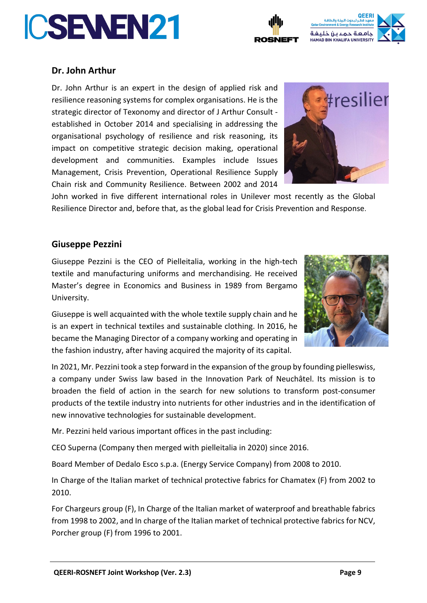



#### **Dr. John Arthur**

Dr. John Arthur is an expert in the design of applied risk and resilience reasoning systems for complex organisations. He is the strategic director of Texonomy and director of J Arthur Consult established in October 2014 and specialising in addressing the organisational psychology of resilience and risk reasoning, its impact on competitive strategic decision making, operational development and communities. Examples include Issues Management, Crisis Prevention, Operational Resilience Supply Chain risk and Community Resilience. Between 2002 and 2014



John worked in five different international roles in Unilever most recently as the Global Resilience Director and, before that, as the global lead for Crisis Prevention and Response.

#### **Giuseppe Pezzini**

Giuseppe Pezzini is the CEO of Pielleitalia, working in the high-tech textile and manufacturing uniforms and merchandising. He received Master's degree in Economics and Business in 1989 from Bergamo University.

Giuseppe is well acquainted with the whole textile supply chain and he is an expert in technical textiles and sustainable clothing. In 2016, he became the Managing Director of a company working and operating in the fashion industry, after having acquired the majority of its capital.

In 2021, Mr. Pezzini took a step forward in the expansion of the group by founding pielleswiss, a company under Swiss law based in the Innovation Park of Neuchâtel. Its mission is to broaden the field of action in the search for new solutions to transform post-consumer products of the textile industry into nutrients for other industries and in the identification of new innovative technologies for sustainable development.

Mr. Pezzini held various important offices in the past including:

CEO Superna (Company then merged with pielleitalia in 2020) since 2016.

Board Member of Dedalo Esco s.p.a. (Energy Service Company) from 2008 to 2010.

In Charge of the Italian market of technical protective fabrics for Chamatex (F) from 2002 to 2010.

For Chargeurs group (F), In Charge of the Italian market of waterproof and breathable fabrics from 1998 to 2002, and In charge of the Italian market of technical protective fabrics for NCV, Porcher group (F) from 1996 to 2001.